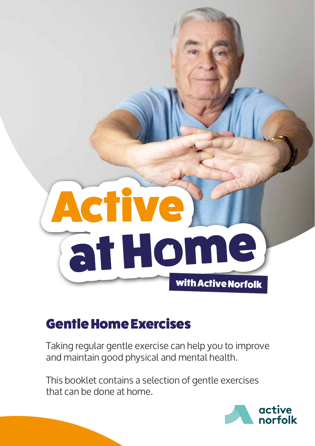

## Gentle Home Exercises

Taking regular gentle exercise can help you to improve and maintain good physical and mental health.

This booklet contains a selection of gentle exercises that can be done at home.

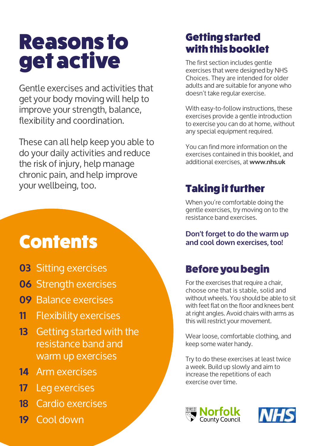# Reasons to get active

Gentle exercises and activities that get your body moving will help to improve your strength, balance, flexibility and coordination.

These can all help keep you able to do your daily activities and reduce the risk of injury, help manage chronic pain, and help improve your wellbeing, too.

# **Contents**

- **03** Sitting exercises
- **06** Strength exercises
- **09** Balance exercises
- **11** Flexibility exercises
- **13** Getting started with the resistance band and warm up exercises
- **14** Arm exercises
- **17** Leg exercises
- **18** Cardio exercises
- **19** Cool down

## Getting started with this booklet

The first section includes gentle exercises that were designed by NHS Choices. They are intended for older adults and are suitable for anyone who doesn't take regular exercise.

With easy-to-follow instructions, these exercises provide a gentle introduction to exercise you can do at home, without any special equipment required.

You can find more information on the exercises contained in this booklet, and additional exercises, at **www.nhs.uk**

## Taking it further

When you're comfortable doing the gentle exercises, try moving on to the resistance band exercises.

**Don't forget to do the warm up and cool down exercises, too!**

## Before you begin

For the exercises that require a chair, choose one that is stable, solid and without wheels. You should be able to sit with feet flat on the floor and knees bent at right angles. Avoid chairs with arms as this will restrict your movement.

Wear loose, comfortable clothing, and keep some water handy.

Try to do these exercises at least twice a week. Build up slowly and aim to increase the repetitions of each exercise over time.



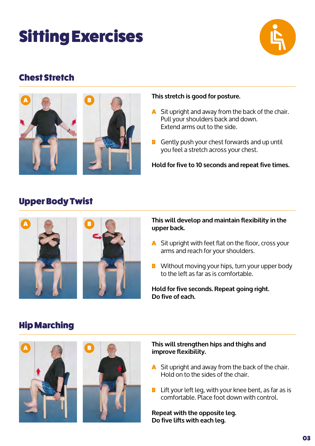# Sitting Exercises



## Chest Stretch



#### **This stretch is good for posture.**

- A Sit upright and away from the back of the chair. Pull your shoulders back and down. Extend arms out to the side.
- B Gently push your chest forwards and up until you feel a stretch across your chest.

**Hold for five to 10 seconds and repeat five times.**

#### Upper Body Twist



#### **This will develop and maintain flexibility in the upper back.**

- A Sit upright with feet flat on the floor, cross your arms and reach for your shoulders.
- **B** Without moving your hips, turn your upper body to the left as far as is comfortable.

**Hold for five seconds. Repeat going right. Do five of each.**

## Hip Marching



#### **This will strengthen hips and thighs and improve flexibility.**

- A Sit upright and away from the back of the chair. Hold on to the sides of the chair.
- B Lift your left leg, with your knee bent, as far as is comfortable. Place foot down with control.

**Repeat with the opposite leg. Do five lifts with each leg.**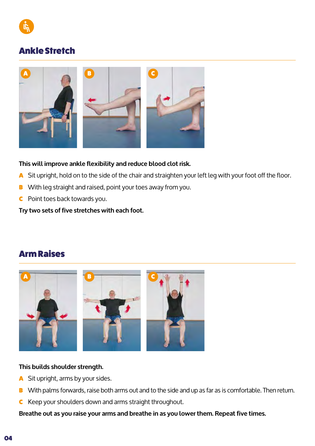

#### Ankle Stretch



#### **This will improve ankle flexibility and reduce blood clot risk.**

- A Sit upright, hold on to the side of the chair and straighten your left leg with your foot off the floor.
- B With leg straight and raised, point your toes away from you.
- C Point toes back towards you.

**Try two sets of five stretches with each foot.**

#### Arm Raises



#### **This builds shoulder strength.**

- A Sit upright, arms by your sides.
- B With palms forwards, raise both arms out and to the side and up as far as is comfortable. Then return.
- C Keep your shoulders down and arms straight throughout.

**Breathe out as you raise your arms and breathe in as you lower them. Repeat five times.**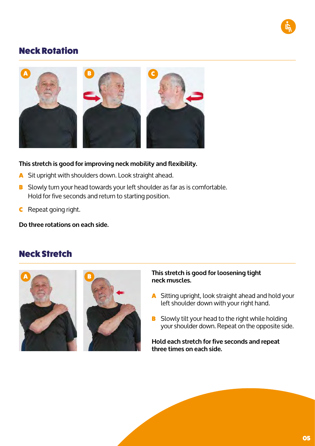#### Neck Rotation



#### **This stretch is good for improving neck mobility and flexibility.**

- A Sit upright with shoulders down. Look straight ahead.
- B Slowly turn your head towards your left shoulder as far as is comfortable. Hold for five seconds and return to starting position.
- C Repeat going right.

**Do three rotations on each side.**

#### Neck Stretch





#### **This stretch is good for loosening tight neck muscles.**

- A Sitting upright, look straight ahead and hold your left shoulder down with your right hand.
- **B** Slowly tilt your head to the right while holding your shoulder down. Repeat on the opposite side.

**Hold each stretch for five seconds and repeat three times on each side.**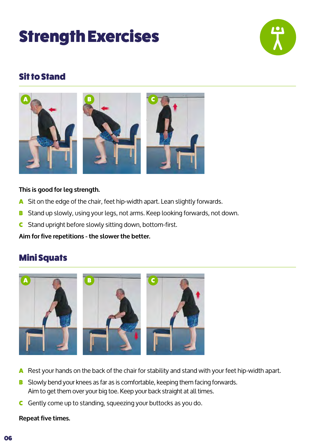# Strength Exercises



## Sit to Stand



#### **This is good for leg strength.**

- A Sit on the edge of the chair, feet hip-width apart. Lean slightly forwards.
- B Stand up slowly, using your legs, not arms. Keep looking forwards, not down.
- **C** Stand upright before slowly sitting down, bottom-first.

**Aim for five repetitions - the slower the better.**

## Mini Squats



- A Rest your hands on the back of the chair for stability and stand with your feet hip-width apart.
- B Slowly bend your knees as far as is comfortable, keeping them facing forwards. Aim to get them over your big toe. Keep your back straight at all times.
- C Gently come up to standing, squeezing your buttocks as you do.

#### **Repeat five times.**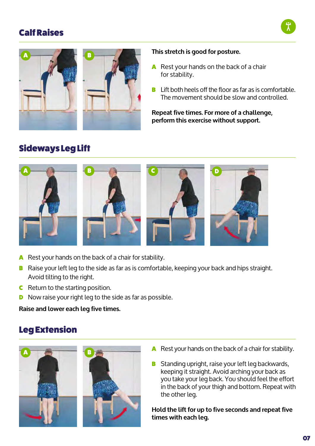## Calf Raises





#### **This stretch is good for posture.**

- A Rest your hands on the back of a chair for stability.
- B Lift both heels off the floor as far as is comfortable. The movement should be slow and controlled.

**Repeat five times. For more of a challenge, perform this exercise without support.**

## Sideways Leg Lift



- A Rest your hands on the back of a chair for stability.
- B Raise your left leg to the side as far as is comfortable, keeping your back and hips straight. Avoid tilting to the right.
- **C** Return to the starting position.
- **D** Now raise your right leg to the side as far as possible.

**Raise and lower each leg five times.**

## Leg Extension



- A Rest your hands on the back of a chair for stability.
- B Standing upright, raise your left leg backwards, keeping it straight. Avoid arching your back as you take your leg back. You should feel the effort in the back of your thigh and bottom. Repeat with the other leg.

**Hold the lift for up to five seconds and repeat five times with each leg.**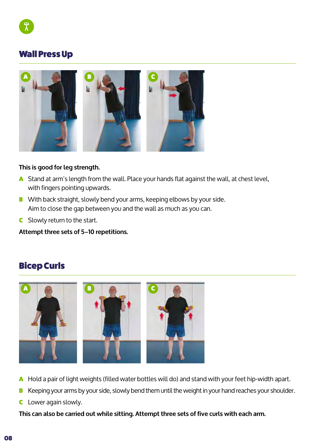

#### Wall Press Up



#### **This is good for leg strength.**

- A Stand at arm's length from the wall. Place your hands flat against the wall, at chest level, with fingers pointing upwards.
- B With back straight, slowly bend your arms, keeping elbows by your side. Aim to close the gap between you and the wall as much as you can.
- **C** Slowly return to the start.

**Attempt three sets of 5–10 repetitions.**

## Bicep Curls



- A Hold a pair of light weights (filled water bottles will do) and stand with your feet hip-width apart.
- B Keeping your arms by your side, slowly bend them until the weight in your hand reaches your shoulder.
- **C** Lower again slowly.

**This can also be carried out while sitting. Attempt three sets of five curls with each arm.**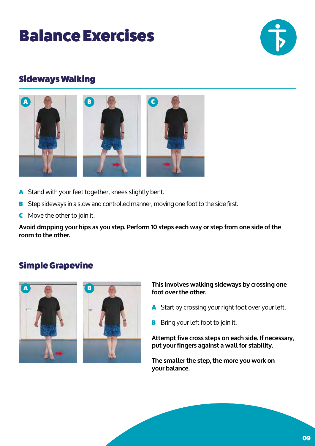# Balance Exercises



## Sideways Walking



- A Stand with your feet together, knees slightly bent.
- B Step sideways in a slow and controlled manner, moving one foot to the side first.
- **C** Move the other to join it.

**Avoid dropping your hips as you step. Perform 10 steps each way or step from one side of the room to the other.**

## Simple Grapevine



**This involves walking sideways by crossing one foot over the other.**

- A Start by crossing your right foot over your left.
- **B** Bring your left foot to join it.

**Attempt five cross steps on each side. If necessary, put your fingers against a wall for stability.** 

**The smaller the step, the more you work on your balance.**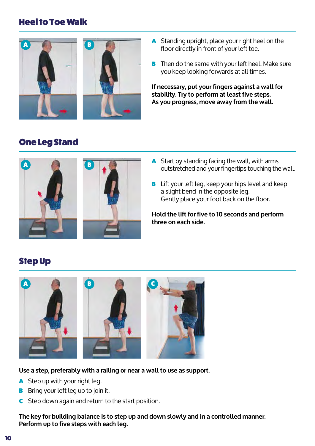#### Heel to Toe Walk



- A Standing upright, place your right heel on the floor directly in front of your left toe.
- **B** Then do the same with your left heel. Make sure you keep looking forwards at all times.

**If necessary, put your fingers against a wall for stability. Try to perform at least five steps. As you progress, move away from the wall.**

## One Leg Stand



- A Start by standing facing the wall, with arms outstretched and your fingertips touching the wall.
- **B** Lift your left leg, keep your hips level and keep a slight bend in the opposite leg. Gently place your foot back on the floor.

**Hold the lift for five to 10 seconds and perform three on each side.**

## Step Up



#### **Use a step, preferably with a railing or near a wall to use as support.**

- A Step up with your right leg.
- **B** Bring your left leg up to join it.
- C Step down again and return to the start position.

**The key for building balance is to step up and down slowly and in a controlled manner. Perform up to five steps with each leg.**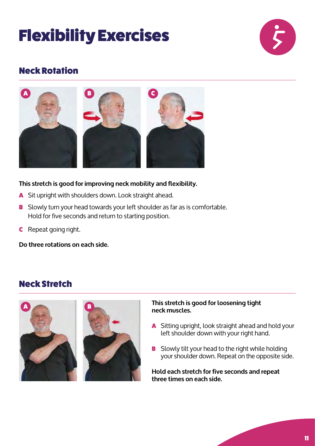# Flexibility Exercises



## Neck Rotation



#### **This stretch is good for improving neck mobility and flexibility.**

- A Sit upright with shoulders down. Look straight ahead.
- B Slowly turn your head towards your left shoulder as far as is comfortable. Hold for five seconds and return to starting position.
- C Repeat going right.

**Do three rotations on each side.**

#### Neck Stretch



#### **This stretch is good for loosening tight neck muscles.**

- A Sitting upright, look straight ahead and hold your left shoulder down with your right hand.
- **B** Slowly tilt your head to the right while holding your shoulder down. Repeat on the opposite side.

**Hold each stretch for five seconds and repeat three times on each side.**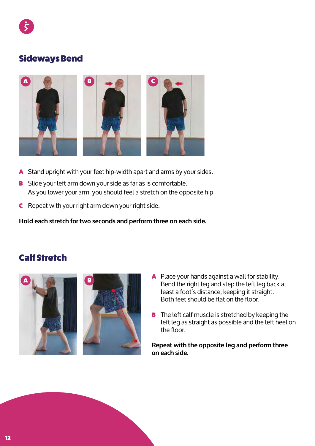

#### Sideways Bend



- A Stand upright with your feet hip-width apart and arms by your sides.
- B Slide your left arm down your side as far as is comfortable. As you lower your arm, you should feel a stretch on the opposite hip.
- **C** Repeat with your right arm down your right side.

**Hold each stretch for two seconds and perform three on each side.**

## Calf Stretch





- A Place your hands against a wall for stability. Bend the right leg and step the left leg back at least a foot's distance, keeping it straight. Both feet should be flat on the floor.
- **B** The left calf muscle is stretched by keeping the left leg as straight as possible and the left heel on the floor.

**Repeat with the opposite leg and perform three on each side.**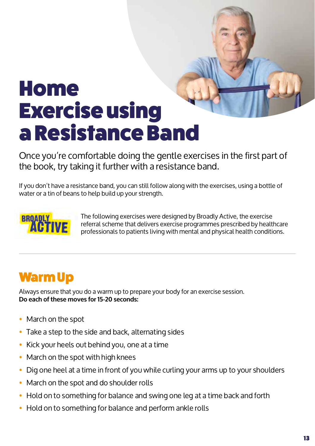# Home Exercise using a Resistance Band

Once you're comfortable doing the gentle exercises in the first part of the book, try taking it further with a resistance band.

If you don't have a resistance band, you can still follow along with the exercises, using a bottle of water or a tin of beans to help build up your strength.



The following exercises were designed by Broadly Active, the exercise referral scheme that delivers exercise programmes prescribed by healthcare professionals to patients living with mental and physical health conditions.

## Warm Up

Always ensure that you do a warm up to prepare your body for an exercise session. **Do each of these moves for 15-20 seconds:**

- March on the spot
- Take a step to the side and back, alternating sides
- Kick your heels out behind you, one at a time
- March on the spot with high knees
- Dig one heel at a time in front of you while curling your arms up to your shoulders
- March on the spot and do shoulder rolls
- Hold on to something for balance and swing one leg at a time back and forth
- Hold on to something for balance and perform ankle rolls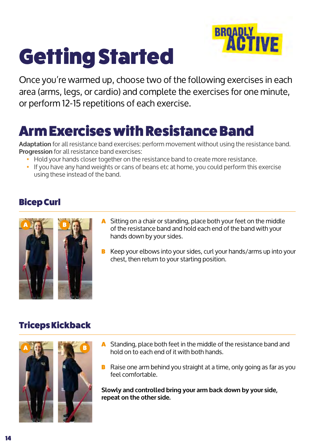# Getting Started



Once you're warmed up, choose two of the following exercises in each area (arms, legs, or cardio) and complete the exercises for one minute, or perform 12-15 repetitions of each exercise.

## Arm Exercises with Resistance Band

**Adaptation** for all resistance band exercises: perform movement without using the resistance band. **Progression** for all resistance band exercises:

- Hold your hands closer together on the resistance band to create more resistance.
- If you have any hand weights or cans of beans etc at home, you could perform this exercise using these instead of the band.

## Bicep Curl



- A Sitting on a chair or standing, place both your feet on the middle of the resistance band and hold each end of the band with your hands down by your sides.
- Keep your elbows into your sides, curl your hands/arms up into your chest, then return to your starting position.

## Triceps Kickback



- A Standing, place both feet in the middle of the resistance band and hold on to each end of it with both hands.
- B Raise one arm behind you straight at a time, only going as far as you feel comfortable.

**Slowly and controlled bring your arm back down by your side, repeat on the other side.**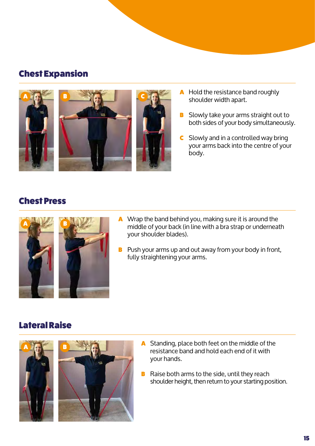#### Chest Expansion



- A Hold the resistance band roughly shoulder width apart.
- B Slowly take your arms straight out to both sides of your body simultaneously.
- **C** Slowly and in a controlled way bring your arms back into the centre of your body.

#### Chest Press



- A Wrap the band behind you, making sure it is around the middle of your back (in line with a bra strap or underneath your shoulder blades).
- B Push your arms up and out away from your body in front, fully straightening your arms.

#### Lateral Raise





- A Standing, place both feet on the middle of the resistance band and hold each end of it with your hands.
- **B** Raise both arms to the side, until they reach shoulder height, then return to your starting position.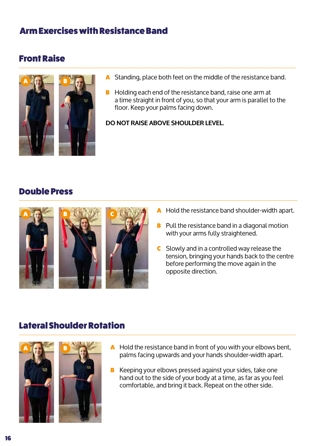#### Arm Exercises with Resistance Band

#### Front Raise



- A Standing, place both feet on the middle of the resistance band.
- B Holding each end of the resistance band, raise one arm at a time straight in front of you, so that your arm is parallel to the floor. Keep your palms facing down.

**DO NOT RAISE ABOVE SHOULDER LEVEL.**

#### Double Press



- A Hold the resistance band shoulder-width apart.
- **B** Pull the resistance band in a diagonal motion with your arms fully straightened.
- **C** Slowly and in a controlled way release the tension, bringing your hands back to the centre before performing the move again in the opposite direction.

#### Lateral Shoulder Rotation



- A Hold the resistance band in front of you with your elbows bent, palms facing upwards and your hands shoulder-width apart.
- B Keeping your elbows pressed against your sides, take one hand out to the side of your body at a time, as far as you feel comfortable, and bring it back. Repeat on the other side.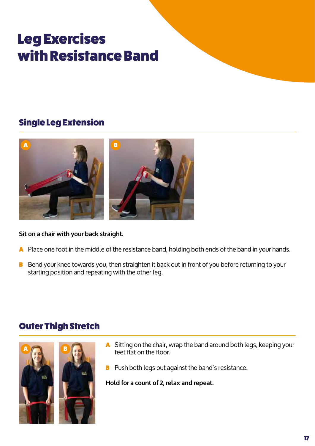## Leg Exercises with Resistance Band

## Single Leg Extension



#### **Sit on a chair with your back straight.**

- A Place one foot in the middle of the resistance band, holding both ends of the band in your hands.
- B Bend your knee towards you, then straighten it back out in front of you before returning to your starting position and repeating with the other leg.

## Outer Thigh Stretch



- A Sitting on the chair, wrap the band around both legs, keeping your feet flat on the floor.
- B Push both legs out against the band's resistance.

**Hold for a count of 2, relax and repeat.**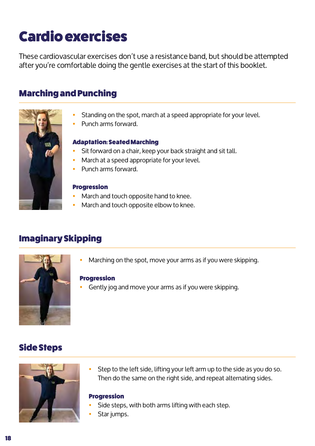# Cardio exercises

These cardiovascular exercises don't use a resistance band, but should be attempted after you're comfortable doing the gentle exercises at the start of this booklet.

#### Marching and Punching



- Standing on the spot, march at a speed appropriate for your level.
- Punch arms forward.

#### Adaptation: Seated Marching

- Sit forward on a chair, keep your back straight and sit tall.
- March at a speed appropriate for your level.
- Punch arms forward.

#### Progression

- March and touch opposite hand to knee.
- March and touch opposite elbow to knee.

## Imaginary Skipping



Marching on the spot, move your arms as if you were skipping.

#### Progression

Gently jog and move your arms as if you were skipping.

#### Side Steps



• Step to the left side, lifting your left arm up to the side as you do so. Then do the same on the right side, and repeat alternating sides.

#### Progression

- Side steps, with both arms lifting with each step.
- Star jumps.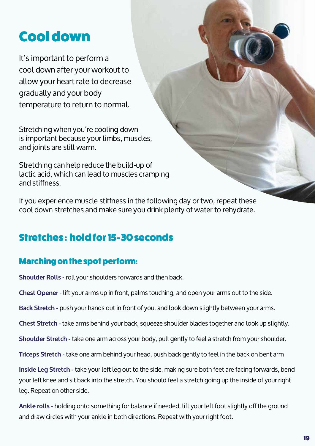## Cool down

It's important to perform a cool down after your workout to allow your heart rate to decrease gradually and your body temperature to return to normal.

Stretching when you're cooling down is important because your limbs, muscles, and joints are still warm.

Stretching can help reduce the build-up of lactic acid, which can lead to muscles cramping and stiffness.

If you experience muscle stiffness in the following day or two, repeat these cool down stretches and make sure you drink plenty of water to rehydrate.

## Stretches : hold for 15-30 seconds

## Marching on the spot perform:

**Shoulder Rolls** - roll your shoulders forwards and then back.

**Chest Opener** - lift your arms up in front, palms touching, and open your arms out to the side.

**Back Stretch -** push your hands out in front of you, and look down slightly between your arms.

**Chest Stretch -** take arms behind your back, squeeze shoulder blades together and look up slightly.

**Shoulder Stretch -** take one arm across your body, pull gently to feel a stretch from your shoulder.

**Triceps Stretch -** take one arm behind your head, push back gently to feel in the back on bent arm

**Inside Leg Stretch -** take your left leg out to the side, making sure both feet are facing forwards, bend your left knee and sit back into the stretch. You should feel a stretch going up the inside of your right leg. Repeat on other side.

**Ankle rolls -** holding onto something for balance if needed, lift your left foot slightly off the ground and draw circles with your ankle in both directions. Repeat with your right foot.